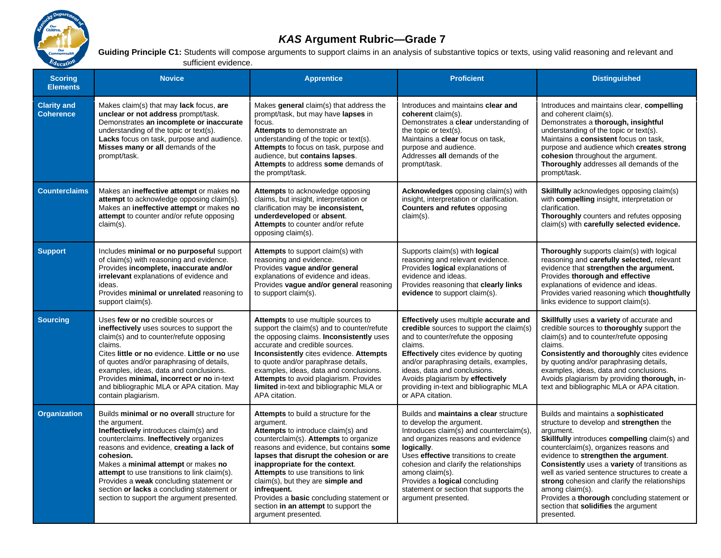

## *KAS* **Argument Rubric—Grade 7**

Guiding Principle C1: Students will compose arguments to support claims in an analysis of substantive topics or texts, using valid reasoning and relevant and  $E_{\text{ducation}}$  sufficient evidence.

| <b>Scoring</b><br><b>Elements</b>      | <b>Novice</b>                                                                                                                                                                                                                                                                                                                                                                                                                         | <b>Apprentice</b>                                                                                                                                                                                                                                                                                                                                                                                                                                                         | <b>Proficient</b>                                                                                                                                                                                                                                                                                                                                                         | <b>Distinguished</b>                                                                                                                                                                                                                                                                                                                                                                                                                                                                                               |
|----------------------------------------|---------------------------------------------------------------------------------------------------------------------------------------------------------------------------------------------------------------------------------------------------------------------------------------------------------------------------------------------------------------------------------------------------------------------------------------|---------------------------------------------------------------------------------------------------------------------------------------------------------------------------------------------------------------------------------------------------------------------------------------------------------------------------------------------------------------------------------------------------------------------------------------------------------------------------|---------------------------------------------------------------------------------------------------------------------------------------------------------------------------------------------------------------------------------------------------------------------------------------------------------------------------------------------------------------------------|--------------------------------------------------------------------------------------------------------------------------------------------------------------------------------------------------------------------------------------------------------------------------------------------------------------------------------------------------------------------------------------------------------------------------------------------------------------------------------------------------------------------|
| <b>Clarity and</b><br><b>Coherence</b> | Makes claim(s) that may lack focus, are<br>unclear or not address prompt/task.<br>Demonstrates an incomplete or inaccurate<br>understanding of the topic or text(s).<br>Lacks focus on task, purpose and audience.<br>Misses many or all demands of the<br>prompt/task.                                                                                                                                                               | Makes general claim(s) that address the<br>prompt/task, but may have lapses in<br>focus.<br>Attempts to demonstrate an<br>understanding of the topic or text(s).<br>Attempts to focus on task, purpose and<br>audience, but contains lapses.<br>Attempts to address some demands of<br>the prompt/task.                                                                                                                                                                   | Introduces and maintains clear and<br>coherent claim(s).<br>Demonstrates a clear understanding of<br>the topic or text(s).<br>Maintains a clear focus on task,<br>purpose and audience.<br>Addresses all demands of the<br>prompt/task.                                                                                                                                   | Introduces and maintains clear, compelling<br>and coherent claim(s).<br>Demonstrates a thorough, insightful<br>understanding of the topic or text(s).<br>Maintains a consistent focus on task.<br>purpose and audience which creates strong<br>cohesion throughout the argument.<br>Thoroughly addresses all demands of the<br>prompt/task.                                                                                                                                                                        |
| <b>Counterclaims</b>                   | Makes an ineffective attempt or makes no<br>attempt to acknowledge opposing claim(s).<br>Makes an ineffective attempt or makes no<br>attempt to counter and/or refute opposing<br>$claim(s)$ .                                                                                                                                                                                                                                        | Attempts to acknowledge opposing<br>claims, but insight, interpretation or<br>clarification may be inconsistent,<br>underdeveloped or absent.<br>Attempts to counter and/or refute<br>opposing claim(s).                                                                                                                                                                                                                                                                  | <b>Acknowledges</b> opposing claim(s) with<br>insight, interpretation or clarification.<br><b>Counters and refutes opposing</b><br>claim(s).                                                                                                                                                                                                                              | <b>Skillfully</b> acknowledges opposing claim(s)<br>with compelling insight, interpretation or<br>clarification.<br>Thoroughly counters and refutes opposing<br>claim(s) with carefully selected evidence.                                                                                                                                                                                                                                                                                                         |
| <b>Support</b>                         | Includes minimal or no purposeful support<br>of claim(s) with reasoning and evidence.<br>Provides incomplete, inaccurate and/or<br>irrelevant explanations of evidence and<br>ideas.<br>Provides minimal or unrelated reasoning to<br>support claim(s).                                                                                                                                                                               | <b>Attempts</b> to support claim(s) with<br>reasoning and evidence.<br>Provides vaque and/or general<br>explanations of evidence and ideas.<br>Provides vague and/or general reasoning<br>to support claim(s).                                                                                                                                                                                                                                                            | Supports claim(s) with <b>logical</b><br>reasoning and relevant evidence.<br>Provides logical explanations of<br>evidence and ideas.<br>Provides reasoning that clearly links<br>evidence to support claim(s).                                                                                                                                                            | <b>Thoroughly</b> supports claim(s) with logical<br>reasoning and carefully selected, relevant<br>evidence that strengthen the argument.<br>Provides thorough and effective<br>explanations of evidence and ideas.<br>Provides varied reasoning which thoughtfully<br>links evidence to support claim(s).                                                                                                                                                                                                          |
| <b>Sourcing</b>                        | Uses few or no credible sources or<br>ineffectively uses sources to support the<br>claim(s) and to counter/refute opposing<br>claims.<br>Cites little or no evidence. Little or no use<br>of quotes and/or paraphrasing of details,<br>examples, ideas, data and conclusions.<br>Provides minimal, incorrect or no in-text<br>and bibliographic MLA or APA citation. May<br>contain plagiarism.                                       | Attempts to use multiple sources to<br>support the claim(s) and to counter/refute<br>the opposing claims. Inconsistently uses<br>accurate and credible sources.<br>Inconsistently cites evidence. Attempts<br>to quote and/or paraphrase details,<br>examples, ideas, data and conclusions.<br>Attempts to avoid plagiarism. Provides<br>limited in-text and bibliographic MLA or<br>APA citation.                                                                        | Effectively uses multiple accurate and<br>credible sources to support the claim(s)<br>and to counter/refute the opposing<br>claims.<br><b>Effectively</b> cites evidence by quoting<br>and/or paraphrasing details, examples,<br>ideas, data and conclusions.<br>Avoids plagiarism by effectively<br>providing in-text and bibliographic MLA<br>or APA citation.          | Skillfully uses a variety of accurate and<br>credible sources to thoroughly support the<br>claim(s) and to counter/refute opposing<br>claims.<br>Consistently and thoroughly cites evidence<br>by quoting and/or paraphrasing details,<br>examples, ideas, data and conclusions.<br>Avoids plagiarism by providing thorough, in-<br>text and bibliographic MLA or APA citation.                                                                                                                                    |
| <b>Organization</b>                    | Builds minimal or no overall structure for<br>the argument.<br>Ineffectively introduces claim(s) and<br>counterclaims. Ineffectively organizes<br>reasons and evidence, creating a lack of<br>cohesion.<br>Makes a minimal attempt or makes no<br>attempt to use transitions to link claim(s).<br>Provides a weak concluding statement or<br>section or lacks a concluding statement or<br>section to support the argument presented. | Attempts to build a structure for the<br>argument.<br>Attempts to introduce claim(s) and<br>counterclaim(s). Attempts to organize<br>reasons and evidence, but contains some<br>lapses that disrupt the cohesion or are<br>inappropriate for the context.<br>Attempts to use transitions to link<br>$claim(s)$ , but they are simple and<br>infrequent.<br>Provides a <b>basic</b> concluding statement or<br>section in an attempt to support the<br>argument presented. | Builds and maintains a clear structure<br>to develop the argument.<br>Introduces claim(s) and counterclaim(s),<br>and organizes reasons and evidence<br>logically.<br>Uses effective transitions to create<br>cohesion and clarify the relationships<br>among claim(s).<br>Provides a logical concluding<br>statement or section that supports the<br>argument presented. | Builds and maintains a sophisticated<br>structure to develop and strengthen the<br>argument.<br><b>Skillfully introduces compelling claim(s) and</b><br>counterclaim(s), organizes reasons and<br>evidence to strengthen the argument.<br>Consistently uses a variety of transitions as<br>well as varied sentence structures to create a<br>strong cohesion and clarify the relationships<br>among claim(s).<br>Provides a thorough concluding statement or<br>section that solidifies the argument<br>presented. |